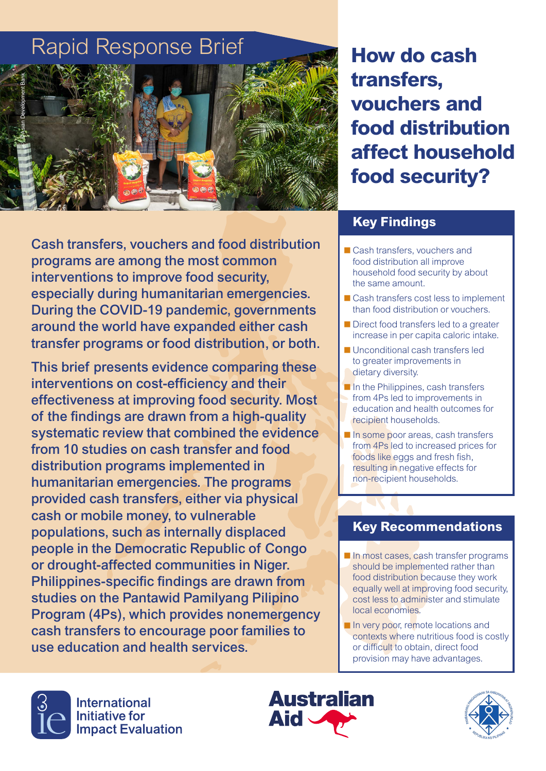# Rapid Response Brief



**How do cash transfers, vouchers and food distribution affect household food security?**

Cash transfers, vouchers and food distribution programs are among the most common interventions to improve food security, especially during humanitarian emergencies. During the COVID-19 pandemic, governments around the world have expanded either cash transfer programs or food distribution, or both.

This brief presents evidence comparing these interventions on cost-efficiency and their effectiveness at improving food security. Most of the findings are drawn from a high-quality systematic review that combined the evidence from 10 studies on cash transfer and food distribution programs implemented in humanitarian emergencies. The programs provided cash transfers, either via physical cash or mobile money, to vulnerable populations, such as internally displaced people in the Democratic Republic of Congo or drought-affected communities in Niger. Philippines-specific findings are drawn from studies on the Pantawid Pamilyang Pilipino Program (4Ps), which provides nonemergency cash transfers to encourage poor families to use education and health services.

#### **Key Findings**

- Cash transfers, vouchers and food distribution all improve household food security by about the same amount.
- Cash transfers cost less to implement than food distribution or vouchers.
- Direct food transfers led to a greater increase in per capita caloric intake.
- **Unconditional cash transfers led** to greater improvements in dietary diversity.
- $\blacksquare$  In the Philippines, cash transfers from 4Ps led to improvements in education and health outcomes for recipient households.
- In some poor areas, cash transfers from 4Ps led to increased prices for foods like eggs and fresh fish, resulting in negative effects for non-recipient households.

#### **Key Recommendations**

- In most cases, cash transfer programs should be implemented rather than food distribution because they work equally well at improving food security, cost less to administer and stimulate local economies.
- In very poor, remote locations and contexts where nutritious food is costly or difficult to obtain, direct food provision may have advantages.





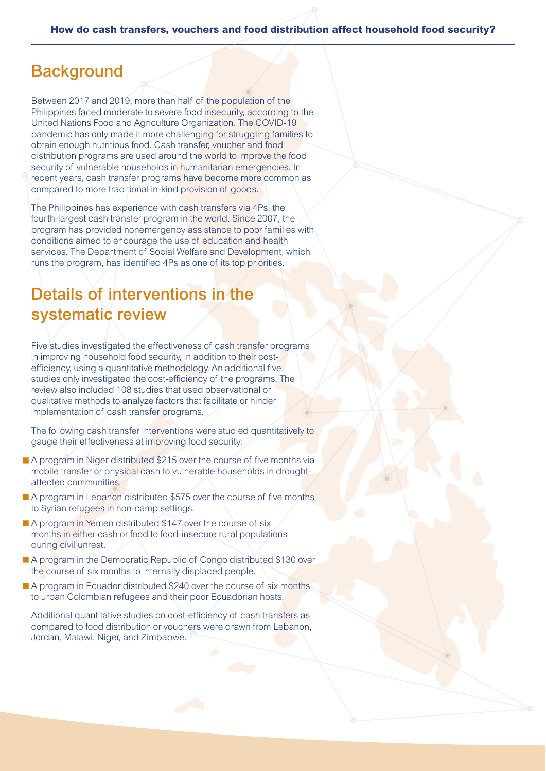#### **Background**

Between 2017 and 2019, more than half of the population of the Philippines faced moderate to severe food insecurity, according to the United Nations Food and Agriculture Organization. The COVID-19 pandemic has only made it more challenging for struggling families to obtain enough nutritious food. Cash transfer, voucher and food distribution programs are used around the world to improve the food security of vulnerable households in humanitarian emergencies. In recent years, cash transfer programs have become more common as compared to more traditional in-kind provision of goods.

The Philippines has experience with cash transfers via 4Ps, the fourth-largest cash transfer program in the world. Since 2007, the program has provided nonemergency assistance to poor families with conditions aimed to encourage the use of education and health services. The Department of Social Welfare and Development, which runs the program, has identified 4Ps as one of its top priorities.

## Details of interventions in the systematic review

Five studies investigated the effectiveness of cash transfer programs in improving household food security, in addition to their costefficiency, using a quantitative methodology. An additional five studies only investigated the cost-efficiency of the programs. The review also included 108 studies that used observational or qualitative methods to analyze factors that facilitate or hinder implementation of cash transfer programs.

The following cash transfer interventions were studied quantitatively to gauge their effectiveness at improving food security:

- A program in Niger distributed \$215 over the course of five months via mobile transfer or physical cash to vulnerable households in droughtaffected communities.
- A program in Lebanon distributed \$575 over the course of five months to Syrian refugees in non-camp settings.
- A program in Yemen distributed \$147 over the course of six months in either cash or food to food-insecure rural populations during civil unrest.
- A program in the Democratic Republic of Congo distributed \$130 over the course of six months to internally displaced people.
- A program in Ecuador distributed \$240 over the course of six months to urban Colombian refugees and their poor Ecuadorian hosts.

Additional quantitative studies on cost-efficiency of cash transfers as compared to food distribution or vouchers were drawn from Lebanon, Jordan, Malawi, Niger, and Zimbabwe.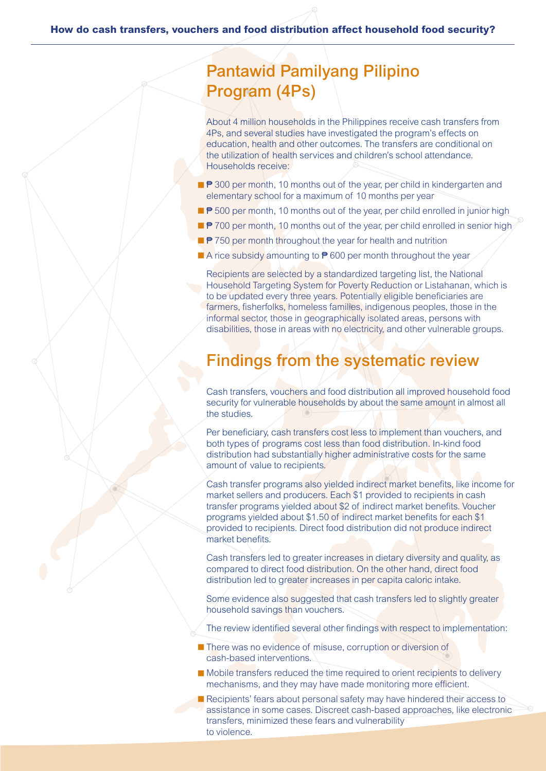# Pantawid Pamilyang Pilipino Program (4Ps)

About 4 million households in the Philippines receive cash transfers from 4Ps, and several studies have investigated the program's effects on education, health and other outcomes. The transfers are conditional on the utilization of health services and children's school attendance. Households receive:

- ₹ 300 per month, 10 months out of the year, per child in kindergarten and elementary school for a maximum of 10 months per year
- ₱ 500 per month, 10 months out of the year, per child enrolled in junior high
- $\blacksquare$   $\blacktriangleright$  700 per month, 10 months out of the year, per child enrolled in senior high
- <sup>●</sup> 750 per month throughout the year for health and nutrition
- A rice subsidy amounting to <sup>●</sup> 600 per month throughout the year

Recipients are selected by a standardized targeting list, the National Household Targeting System for Poverty Reduction or Listahanan, which is to be updated every three years. Potentially eligible beneficiaries are farmers, fisherfolks, homeless families, indigenous peoples, those in the informal sector, those in geographically isolated areas, persons with disabilities, those in areas with no electricity, and other vulnerable groups.

### Findings from the systematic review

Cash transfers, vouchers and food distribution all improved household food security for vulnerable households by about the same amount in almost all the studies.

Per beneficiary, cash transfers cost less to implement than vouchers, and both types of programs cost less than food distribution. In-kind food distribution had substantially higher administrative costs for the same amount of value to recipients.

Cash transfer programs also yielded indirect market benefits, like income for market sellers and producers. Each \$1 provided to recipients in cash transfer programs yielded about \$2 of indirect market benefits. Voucher programs yielded about \$1.50 of indirect market benefits for each \$1 provided to recipients. Direct food distribution did not produce indirect market benefits.

Cash transfers led to greater increases in dietary diversity and quality, as compared to direct food distribution. On the other hand, direct food distribution led to greater increases in per capita caloric intake.

Some evidence also suggested that cash transfers led to slightly greater household savings than vouchers.

The review identified several other findings with respect to implementation:

- **There was no evidence of misuse, corruption or diversion of** cash-based interventions.
- Mobile transfers reduced the time required to orient recipients to delivery mechanisms, and they may have made monitoring more efficient.
- Recipients' fears about personal safety may have hindered their access to assistance in some cases. Discreet cash-based approaches, like electronic transfers, minimized these fears and vulnerability to violence.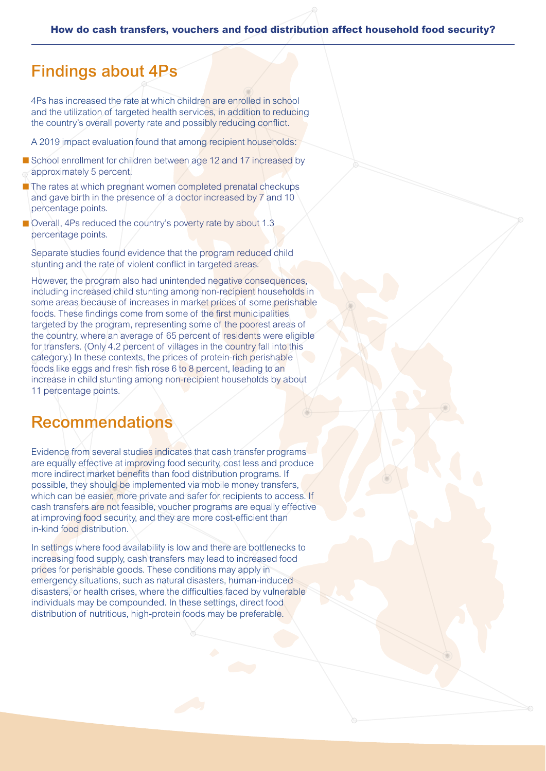### Findings about 4Ps

4Ps has increased the rate at which children are enrolled in school and the utilization of targeted health services, in addition to reducing the country's overall poverty rate and possibly reducing conflict.

A 2019 impact evaluation found that among recipient households:

- School enrollment for children between age 12 and 17 increased by approximately 5 percent.
- $\blacksquare$  The rates at which pregnant women completed prenatal checkups and gave birth in the presence of a doctor increased by 7 and 10 percentage points.
- Overall, 4Ps reduced the country's poverty rate by about 1.3 percentage points.

Separate studies found evidence that the program reduced child stunting and the rate of violent conflict in targeted areas.

However, the program also had unintended negative consequences, including increased child stunting among non-recipient households in some areas because of increases in market prices of some perishable foods. These findings come from some of the first municipalities targeted by the program, representing some of the poorest areas of the country, where an average of 65 percent of residents were eligible for transfers. (Only 4.2 percent of villages in the country fall into this category.) In these contexts, the prices of protein-rich perishable foods like eggs and fresh fish rose 6 to 8 percent, leading to an increase in child stunting among non-recipient households by about 11 percentage points.

### Recommendations

Evidence from several studies indicates that cash transfer programs are equally effective at improving food security, cost less and produce more indirect market benefits than food distribution programs. If possible, they should be implemented via mobile money transfers, which can be easier, more private and safer for recipients to access. If cash transfers are not feasible, voucher programs are equally effective at improving food security, and they are more cost-efficient than in-kind food distribution.

In settings where food availability is low and there are bottlenecks to increasing food supply, cash transfers may lead to increased food prices for perishable goods. These conditions may apply in emergency situations, such as natural disasters, human-induced disasters, or health crises, where the difficulties faced by vulnerable individuals may be compounded. In these settings, direct food distribution of nutritious, high-protein foods may be preferable.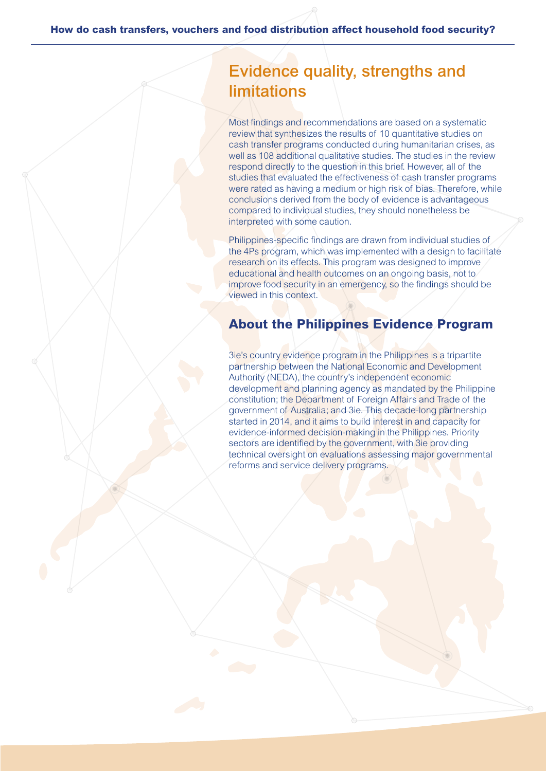# Evidence quality, strengths and limitations

Most findings and recommendations are based on a systematic review that synthesizes the results of 10 quantitative studies on cash transfer programs conducted during humanitarian crises, as well as 108 additional qualitative studies. The studies in the review respond directly to the question in this brief. However, all of the studies that evaluated the effectiveness of cash transfer programs were rated as having a medium or high risk of bias. Therefore, while conclusions derived from the body of evidence is advantageous compared to individual studies, they should nonetheless be interpreted with some caution.

Philippines-specific findings are drawn from individual studies of the 4Ps program, which was implemented with a design to facilitate research on its effects. This program was designed to improve educational and health outcomes on an ongoing basis, not to improve food security in an emergency, so the findings should be viewed in this context.

#### **About the Philippines Evidence Program**

3ie's country evidence program in the Philippines is a tripartite partnership between the National Economic and Development Authority (NEDA), the country's independent economic development and planning agency as mandated by the Philippine constitution; the Department of Foreign Affairs and Trade of the government of Australia; and 3ie. This decade-long partnership started in 2014, and it aims to build interest in and capacity for evidence-informed decision-making in the Philippines. Priority sectors are identified by the government, with 3ie providing technical oversight on evaluations assessing major governmental reforms and service delivery programs.